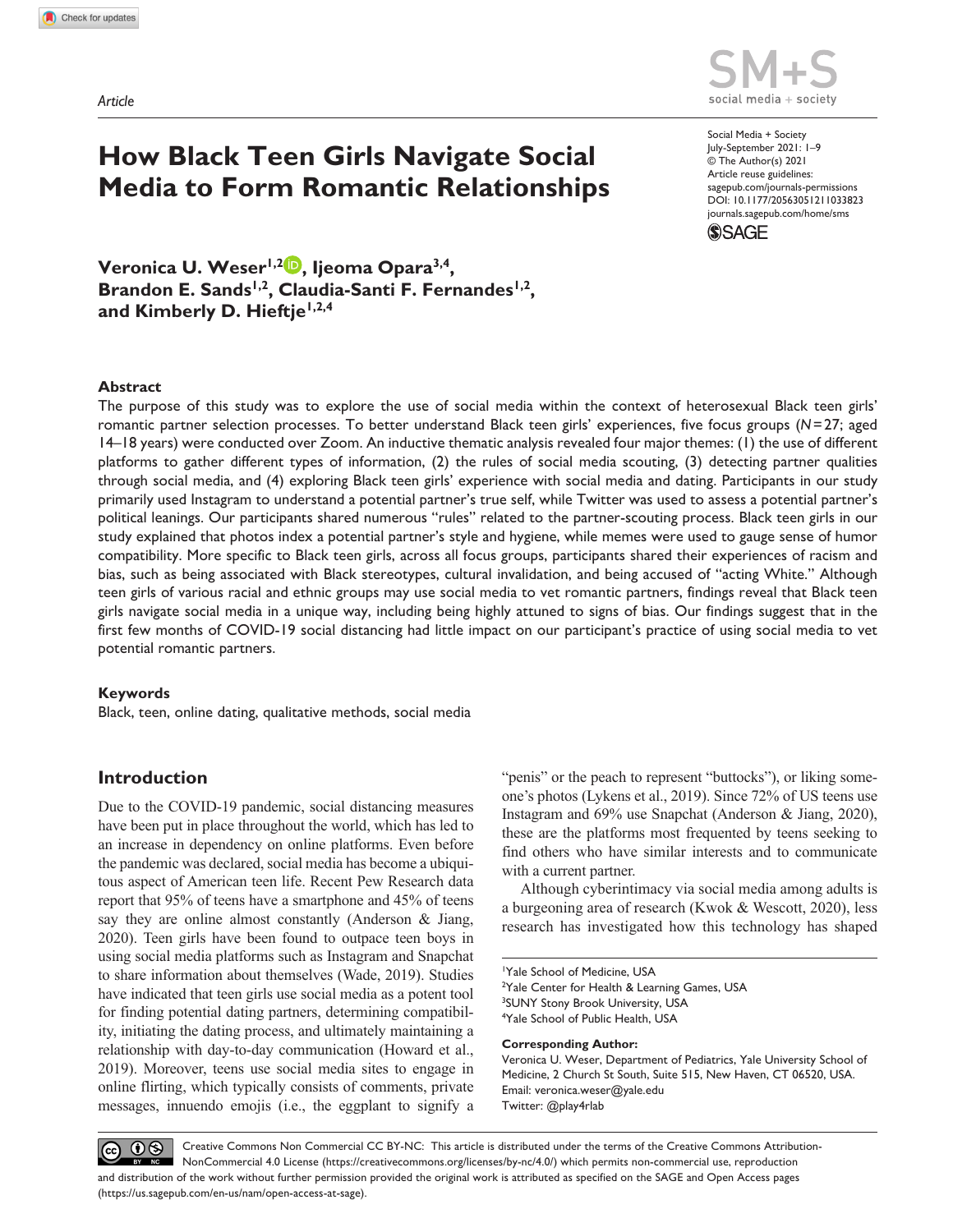*Article*



social media + society

https://doi.org/10.1177/20563051211033823 DOI: 10.1177/20563051211033823 Social Media + Society July-September 2021: 1–9 © The Author(s) 2021 Article reuse guidelines: [sagepub.com/journals-permissions](https://uk.sagepub.com/en-gb/journals-permissions) [journals.sagepub.com/home/sms](https://journals.sagepub.com/home/sms)



**Veronica U. Weser1,2 , Ijeoma Opara3,4,**  Brandon E. Sands<sup>1,2</sup>, Claudia-Santi F. Fernandes<sup>1,2</sup>, **and Kimberly D. Hieftje1,2,4**

#### **Abstract**

The purpose of this study was to explore the use of social media within the context of heterosexual Black teen girls' romantic partner selection processes. To better understand Black teen girls' experiences, five focus groups (*N*=27; aged 14–18 years) were conducted over Zoom. An inductive thematic analysis revealed four major themes: (1) the use of different platforms to gather different types of information, (2) the rules of social media scouting, (3) detecting partner qualities through social media, and (4) exploring Black teen girls' experience with social media and dating. Participants in our study primarily used Instagram to understand a potential partner's true self, while Twitter was used to assess a potential partner's political leanings. Our participants shared numerous "rules" related to the partner-scouting process. Black teen girls in our study explained that photos index a potential partner's style and hygiene, while memes were used to gauge sense of humor compatibility. More specific to Black teen girls, across all focus groups, participants shared their experiences of racism and bias, such as being associated with Black stereotypes, cultural invalidation, and being accused of "acting White." Although teen girls of various racial and ethnic groups may use social media to vet romantic partners, findings reveal that Black teen girls navigate social media in a unique way, including being highly attuned to signs of bias. Our findings suggest that in the first few months of COVID-19 social distancing had little impact on our participant's practice of using social media to vet potential romantic partners.

#### **Keywords**

Black, teen, online dating, qualitative methods, social media

# **Introduction**

Due to the COVID-19 pandemic, social distancing measures have been put in place throughout the world, which has led to an increase in dependency on online platforms. Even before the pandemic was declared, social media has become a ubiquitous aspect of American teen life. Recent Pew Research data report that 95% of teens have a smartphone and 45% of teens say they are online almost constantly (Anderson & Jiang, 2020). Teen girls have been found to outpace teen boys in using social media platforms such as Instagram and Snapchat to share information about themselves (Wade, 2019). Studies have indicated that teen girls use social media as a potent tool for finding potential dating partners, determining compatibility, initiating the dating process, and ultimately maintaining a relationship with day-to-day communication (Howard et al., 2019). Moreover, teens use social media sites to engage in online flirting, which typically consists of comments, private messages, innuendo emojis (i.e., the eggplant to signify a "penis" or the peach to represent "buttocks"), or liking someone's photos (Lykens et al., 2019). Since 72% of US teens use Instagram and 69% use Snapchat (Anderson & Jiang, 2020), these are the platforms most frequented by teens seeking to find others who have similar interests and to communicate with a current partner.

Although cyberintimacy via social media among adults is a burgeoning area of research (Kwok & Wescott, 2020), less research has investigated how this technology has shaped

1 Yale School of Medicine, USA <sup>2</sup>Yale Center for Health & Learning Games, USA <sup>3</sup>SUNY Stony Brook University, USA 4 Yale School of Public Health, USA

#### **Corresponding Author:**

Veronica U. Weser, Department of Pediatrics, Yale University School of Medicine, 2 Church St South, Suite 515, New Haven, CT 06520, USA. Email: [veronica.weser@yale.edu](mailto:veronica.weser@yale.edu)  Twitter: @play4rlab

 $\circledcirc$   $\circledcirc$ Creative Commons Non Commercial CC BY-NC: This article is distributed under the terms of the Creative Commons Attribution-NonCommercial 4.0 License (https://creativecommons.org/licenses/by-nc/4.0/) which permits non-commercial use, reproduction and distribution of the work without further permission provided the original work is attributed as specified on the SAGE and Open Access pages (https://us.sagepub.com/en-us/nam/open-access-at-sage).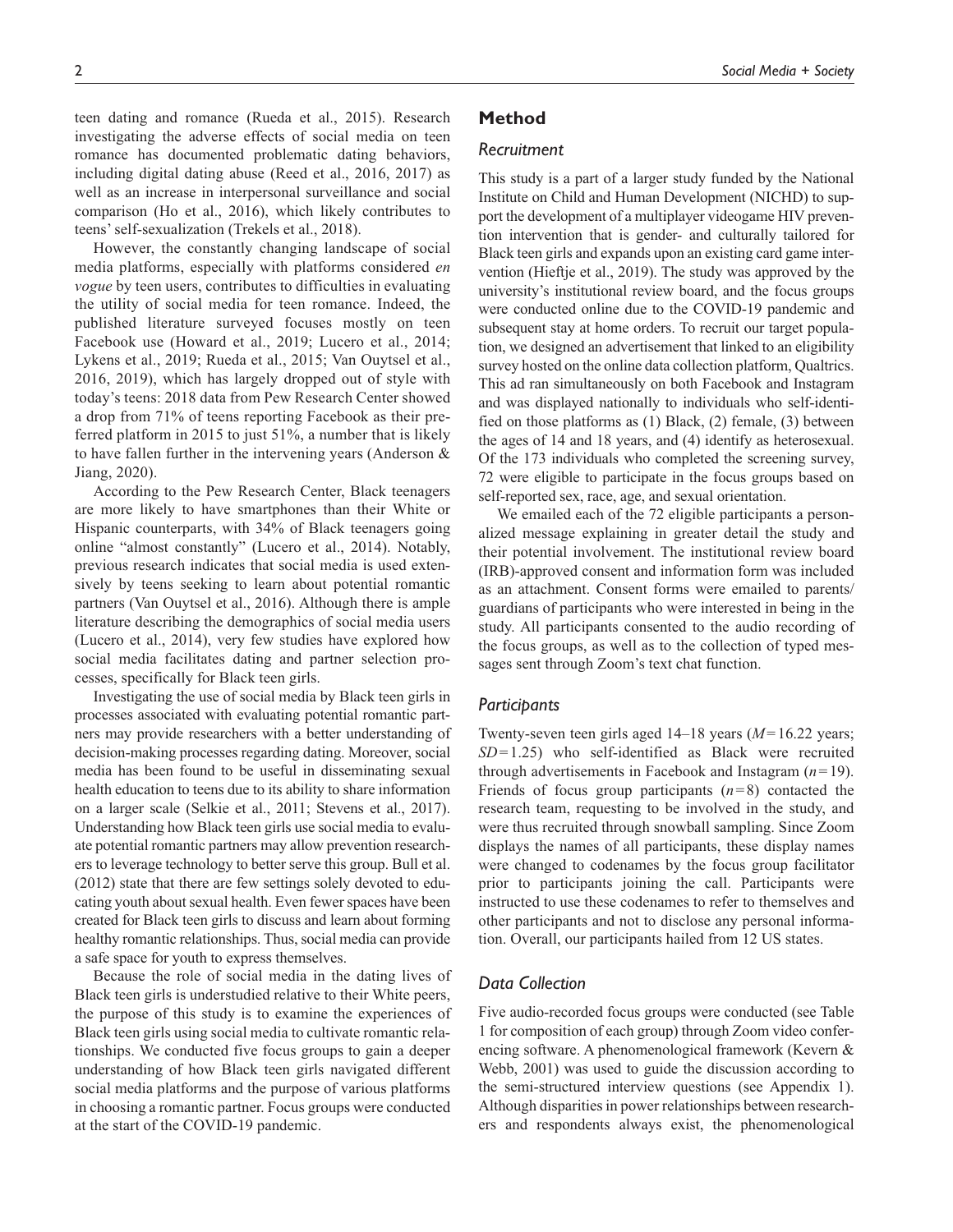teen dating and romance (Rueda et al., 2015). Research investigating the adverse effects of social media on teen romance has documented problematic dating behaviors, including digital dating abuse (Reed et al., 2016, 2017) as well as an increase in interpersonal surveillance and social comparison (Ho et al., 2016), which likely contributes to teens' self-sexualization (Trekels et al., 2018).

However, the constantly changing landscape of social media platforms, especially with platforms considered *en vogue* by teen users, contributes to difficulties in evaluating the utility of social media for teen romance. Indeed, the published literature surveyed focuses mostly on teen Facebook use (Howard et al., 2019; Lucero et al., 2014; Lykens et al., 2019; Rueda et al., 2015; Van Ouytsel et al., 2016, 2019), which has largely dropped out of style with today's teens: 2018 data from Pew Research Center showed a drop from 71% of teens reporting Facebook as their preferred platform in 2015 to just 51%, a number that is likely to have fallen further in the intervening years (Anderson & Jiang, 2020).

According to the Pew Research Center, Black teenagers are more likely to have smartphones than their White or Hispanic counterparts, with 34% of Black teenagers going online "almost constantly" (Lucero et al., 2014). Notably, previous research indicates that social media is used extensively by teens seeking to learn about potential romantic partners (Van Ouytsel et al., 2016). Although there is ample literature describing the demographics of social media users (Lucero et al., 2014), very few studies have explored how social media facilitates dating and partner selection processes, specifically for Black teen girls.

Investigating the use of social media by Black teen girls in processes associated with evaluating potential romantic partners may provide researchers with a better understanding of decision-making processes regarding dating. Moreover, social media has been found to be useful in disseminating sexual health education to teens due to its ability to share information on a larger scale (Selkie et al., 2011; Stevens et al., 2017). Understanding how Black teen girls use social media to evaluate potential romantic partners may allow prevention researchers to leverage technology to better serve this group. Bull et al. (2012) state that there are few settings solely devoted to educating youth about sexual health. Even fewer spaces have been created for Black teen girls to discuss and learn about forming healthy romantic relationships. Thus, social media can provide a safe space for youth to express themselves.

Because the role of social media in the dating lives of Black teen girls is understudied relative to their White peers, the purpose of this study is to examine the experiences of Black teen girls using social media to cultivate romantic relationships. We conducted five focus groups to gain a deeper understanding of how Black teen girls navigated different social media platforms and the purpose of various platforms in choosing a romantic partner. Focus groups were conducted at the start of the COVID-19 pandemic.

# **Method**

#### *Recruitment*

This study is a part of a larger study funded by the National Institute on Child and Human Development (NICHD) to support the development of a multiplayer videogame HIV prevention intervention that is gender- and culturally tailored for Black teen girls and expands upon an existing card game intervention (Hieftje et al., 2019). The study was approved by the university's institutional review board, and the focus groups were conducted online due to the COVID-19 pandemic and subsequent stay at home orders. To recruit our target population, we designed an advertisement that linked to an eligibility survey hosted on the online data collection platform, Qualtrics. This ad ran simultaneously on both Facebook and Instagram and was displayed nationally to individuals who self-identified on those platforms as (1) Black, (2) female, (3) between the ages of 14 and 18 years, and (4) identify as heterosexual. Of the 173 individuals who completed the screening survey, 72 were eligible to participate in the focus groups based on self-reported sex, race, age, and sexual orientation.

We emailed each of the 72 eligible participants a personalized message explaining in greater detail the study and their potential involvement. The institutional review board (IRB)-approved consent and information form was included as an attachment. Consent forms were emailed to parents/ guardians of participants who were interested in being in the study. All participants consented to the audio recording of the focus groups, as well as to the collection of typed messages sent through Zoom's text chat function.

#### *Participants*

Twenty-seven teen girls aged 14–18 years (*M*=16.22 years; *SD*=1.25) who self-identified as Black were recruited through advertisements in Facebook and Instagram (*n*=19). Friends of focus group participants (*n*=8) contacted the research team, requesting to be involved in the study, and were thus recruited through snowball sampling. Since Zoom displays the names of all participants, these display names were changed to codenames by the focus group facilitator prior to participants joining the call. Participants were instructed to use these codenames to refer to themselves and other participants and not to disclose any personal information. Overall, our participants hailed from 12 US states.

### *Data Collection*

Five audio-recorded focus groups were conducted (see Table 1 for composition of each group) through Zoom video conferencing software. A phenomenological framework (Kevern & Webb, 2001) was used to guide the discussion according to the semi-structured interview questions (see Appendix 1). Although disparities in power relationships between researchers and respondents always exist, the phenomenological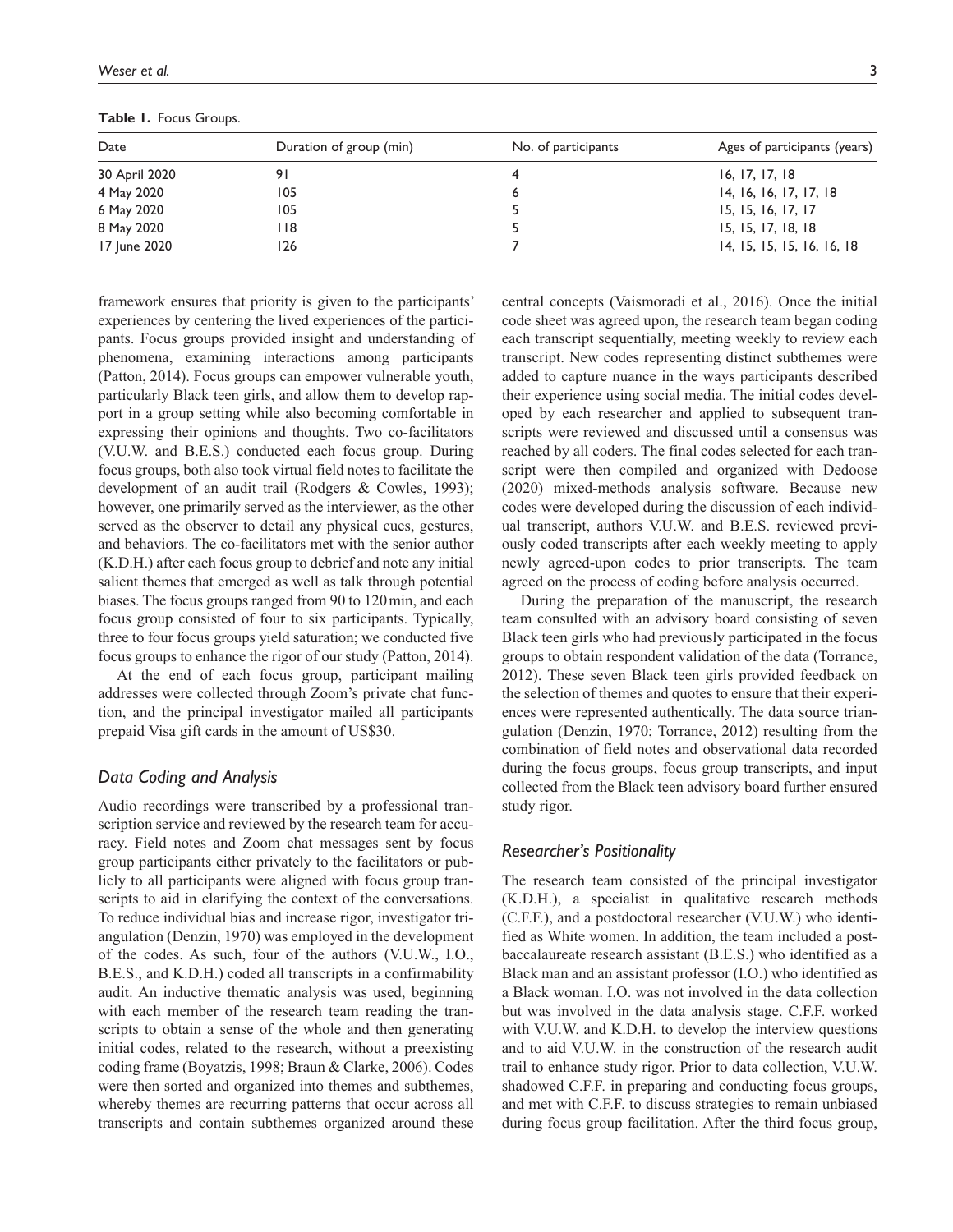| Table 1. Focus Groups. |                         |                     |                              |  |
|------------------------|-------------------------|---------------------|------------------------------|--|
| Date                   | Duration of group (min) | No. of participants | Ages of participants (years) |  |
| 30 April 2020          |                         |                     | 16.17.17.18                  |  |
| 4 May 2020             | ۱05                     |                     | 14, 16, 16, 17, 17, 18       |  |

6 May 2020 105 5 15, 15, 16, 17, 17 8 May 2020 118 18 18 18 19 19 10 118 15, 15, 17, 18, 18 17 June 2020 126 7 14, 15, 15, 15, 16, 16, 18

**Table 1.** Focus Groups.

framework ensures that priority is given to the participants' experiences by centering the lived experiences of the participants. Focus groups provided insight and understanding of phenomena, examining interactions among participants (Patton, 2014). Focus groups can empower vulnerable youth, particularly Black teen girls, and allow them to develop rapport in a group setting while also becoming comfortable in expressing their opinions and thoughts. Two co-facilitators (V.U.W. and B.E.S.) conducted each focus group. During focus groups, both also took virtual field notes to facilitate the development of an audit trail (Rodgers & Cowles, 1993); however, one primarily served as the interviewer, as the other served as the observer to detail any physical cues, gestures, and behaviors. The co-facilitators met with the senior author (K.D.H.) after each focus group to debrief and note any initial salient themes that emerged as well as talk through potential biases. The focus groups ranged from 90 to 120min, and each focus group consisted of four to six participants. Typically, three to four focus groups yield saturation; we conducted five focus groups to enhance the rigor of our study (Patton, 2014).

At the end of each focus group, participant mailing addresses were collected through Zoom's private chat function, and the principal investigator mailed all participants prepaid Visa gift cards in the amount of US\$30.

### *Data Coding and Analysis*

Audio recordings were transcribed by a professional transcription service and reviewed by the research team for accuracy. Field notes and Zoom chat messages sent by focus group participants either privately to the facilitators or publicly to all participants were aligned with focus group transcripts to aid in clarifying the context of the conversations. To reduce individual bias and increase rigor, investigator triangulation (Denzin, 1970) was employed in the development of the codes. As such, four of the authors (V.U.W., I.O., B.E.S., and K.D.H.) coded all transcripts in a confirmability audit. An inductive thematic analysis was used, beginning with each member of the research team reading the transcripts to obtain a sense of the whole and then generating initial codes, related to the research, without a preexisting coding frame (Boyatzis, 1998; Braun & Clarke, 2006). Codes were then sorted and organized into themes and subthemes, whereby themes are recurring patterns that occur across all transcripts and contain subthemes organized around these

central concepts (Vaismoradi et al., 2016). Once the initial code sheet was agreed upon, the research team began coding each transcript sequentially, meeting weekly to review each transcript. New codes representing distinct subthemes were added to capture nuance in the ways participants described their experience using social media. The initial codes developed by each researcher and applied to subsequent transcripts were reviewed and discussed until a consensus was reached by all coders. The final codes selected for each transcript were then compiled and organized with Dedoose (2020) mixed-methods analysis software. Because new codes were developed during the discussion of each individual transcript, authors V.U.W. and B.E.S. reviewed previously coded transcripts after each weekly meeting to apply newly agreed-upon codes to prior transcripts. The team agreed on the process of coding before analysis occurred.

During the preparation of the manuscript, the research team consulted with an advisory board consisting of seven Black teen girls who had previously participated in the focus groups to obtain respondent validation of the data (Torrance, 2012). These seven Black teen girls provided feedback on the selection of themes and quotes to ensure that their experiences were represented authentically. The data source triangulation (Denzin, 1970; Torrance, 2012) resulting from the combination of field notes and observational data recorded during the focus groups, focus group transcripts, and input collected from the Black teen advisory board further ensured study rigor.

# *Researcher's Positionality*

The research team consisted of the principal investigator (K.D.H.), a specialist in qualitative research methods (C.F.F.), and a postdoctoral researcher (V.U.W.) who identified as White women. In addition, the team included a postbaccalaureate research assistant (B.E.S.) who identified as a Black man and an assistant professor (I.O.) who identified as a Black woman. I.O. was not involved in the data collection but was involved in the data analysis stage. C.F.F. worked with V.U.W. and K.D.H. to develop the interview questions and to aid V.U.W. in the construction of the research audit trail to enhance study rigor. Prior to data collection, V.U.W. shadowed C.F.F. in preparing and conducting focus groups, and met with C.F.F. to discuss strategies to remain unbiased during focus group facilitation. After the third focus group,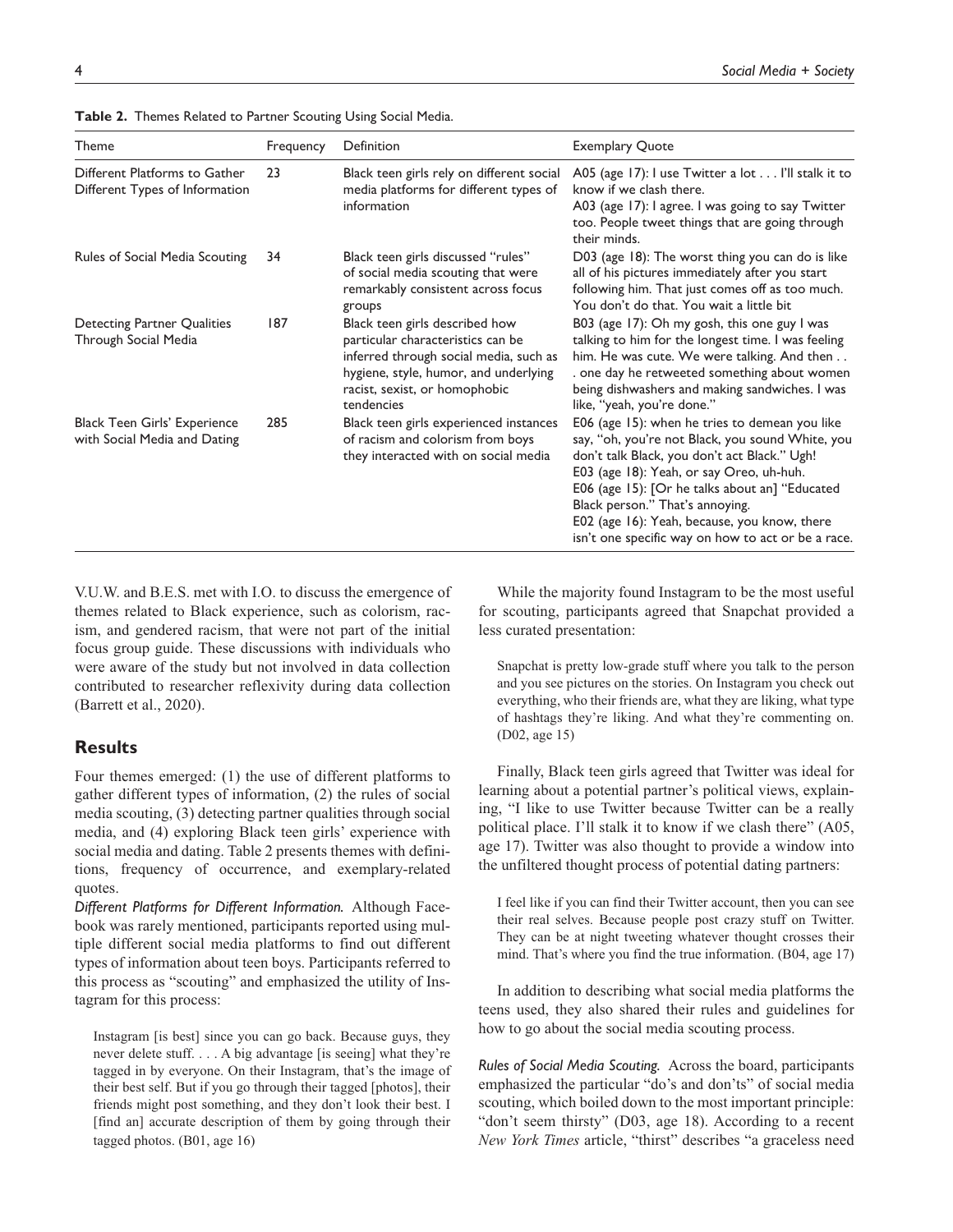| Theme                                                           | Frequency | Definition                                                                                                                                                                                            | <b>Exemplary Quote</b>                                                                                                                                                                                                                                                                                                                                                                    |
|-----------------------------------------------------------------|-----------|-------------------------------------------------------------------------------------------------------------------------------------------------------------------------------------------------------|-------------------------------------------------------------------------------------------------------------------------------------------------------------------------------------------------------------------------------------------------------------------------------------------------------------------------------------------------------------------------------------------|
| Different Platforms to Gather<br>Different Types of Information | 23        | Black teen girls rely on different social<br>media platforms for different types of<br>information                                                                                                    | A05 (age 17): I use Twitter a lot I'll stalk it to<br>know if we clash there.<br>A03 (age 17): I agree. I was going to say Twitter<br>too. People tweet things that are going through<br>their minds.                                                                                                                                                                                     |
| Rules of Social Media Scouting                                  | 34        | Black teen girls discussed "rules"<br>of social media scouting that were<br>remarkably consistent across focus<br>groups                                                                              | D03 (age 18): The worst thing you can do is like<br>all of his pictures immediately after you start<br>following him. That just comes off as too much.<br>You don't do that. You wait a little bit                                                                                                                                                                                        |
| Detecting Partner Qualities<br>Through Social Media             | 187       | Black teen girls described how<br>particular characteristics can be<br>inferred through social media, such as<br>hygiene, style, humor, and underlying<br>racist, sexist, or homophobic<br>tendencies | B03 (age 17): Oh my gosh, this one guy I was<br>talking to him for the longest time. I was feeling<br>him. He was cute. We were talking. And then<br>. one day he retweeted something about women<br>being dishwashers and making sandwiches. I was<br>like, "yeah, you're done."                                                                                                         |
| Black Teen Girls' Experience<br>with Social Media and Dating    | 285       | Black teen girls experienced instances<br>of racism and colorism from boys<br>they interacted with on social media                                                                                    | E06 (age 15): when he tries to demean you like<br>say, "oh, you're not Black, you sound White, you<br>don't talk Black, you don't act Black." Ugh!<br>E03 (age 18): Yeah, or say Oreo, uh-huh.<br>E06 (age 15): [Or he talks about an] "Educated<br>Black person." That's annoying.<br>E02 (age 16): Yeah, because, you know, there<br>isn't one specific way on how to act or be a race. |

**Table 2.** Themes Related to Partner Scouting Using Social Media.

V.U.W. and B.E.S. met with I.O. to discuss the emergence of themes related to Black experience, such as colorism, racism, and gendered racism, that were not part of the initial focus group guide. These discussions with individuals who were aware of the study but not involved in data collection contributed to researcher reflexivity during data collection (Barrett et al., 2020).

### **Results**

Four themes emerged: (1) the use of different platforms to gather different types of information, (2) the rules of social media scouting, (3) detecting partner qualities through social media, and (4) exploring Black teen girls' experience with social media and dating. Table 2 presents themes with definitions, frequency of occurrence, and exemplary-related quotes.

*Different Platforms for Different Information.* Although Facebook was rarely mentioned, participants reported using multiple different social media platforms to find out different types of information about teen boys. Participants referred to this process as "scouting" and emphasized the utility of Instagram for this process:

Instagram [is best] since you can go back. Because guys, they never delete stuff. . . . A big advantage [is seeing] what they're tagged in by everyone. On their Instagram, that's the image of their best self. But if you go through their tagged [photos], their friends might post something, and they don't look their best. I [find an] accurate description of them by going through their tagged photos. (B01, age 16)

While the majority found Instagram to be the most useful for scouting, participants agreed that Snapchat provided a less curated presentation:

Snapchat is pretty low-grade stuff where you talk to the person and you see pictures on the stories. On Instagram you check out everything, who their friends are, what they are liking, what type of hashtags they're liking. And what they're commenting on. (D02, age 15)

Finally, Black teen girls agreed that Twitter was ideal for learning about a potential partner's political views, explaining, "I like to use Twitter because Twitter can be a really political place. I'll stalk it to know if we clash there" (A05, age 17). Twitter was also thought to provide a window into the unfiltered thought process of potential dating partners:

I feel like if you can find their Twitter account, then you can see their real selves. Because people post crazy stuff on Twitter. They can be at night tweeting whatever thought crosses their mind. That's where you find the true information. (B04, age 17)

In addition to describing what social media platforms the teens used, they also shared their rules and guidelines for how to go about the social media scouting process.

*Rules of Social Media Scouting.* Across the board, participants emphasized the particular "do's and don'ts" of social media scouting, which boiled down to the most important principle: "don't seem thirsty" (D03, age 18). According to a recent *New York Times* article, "thirst" describes "a graceless need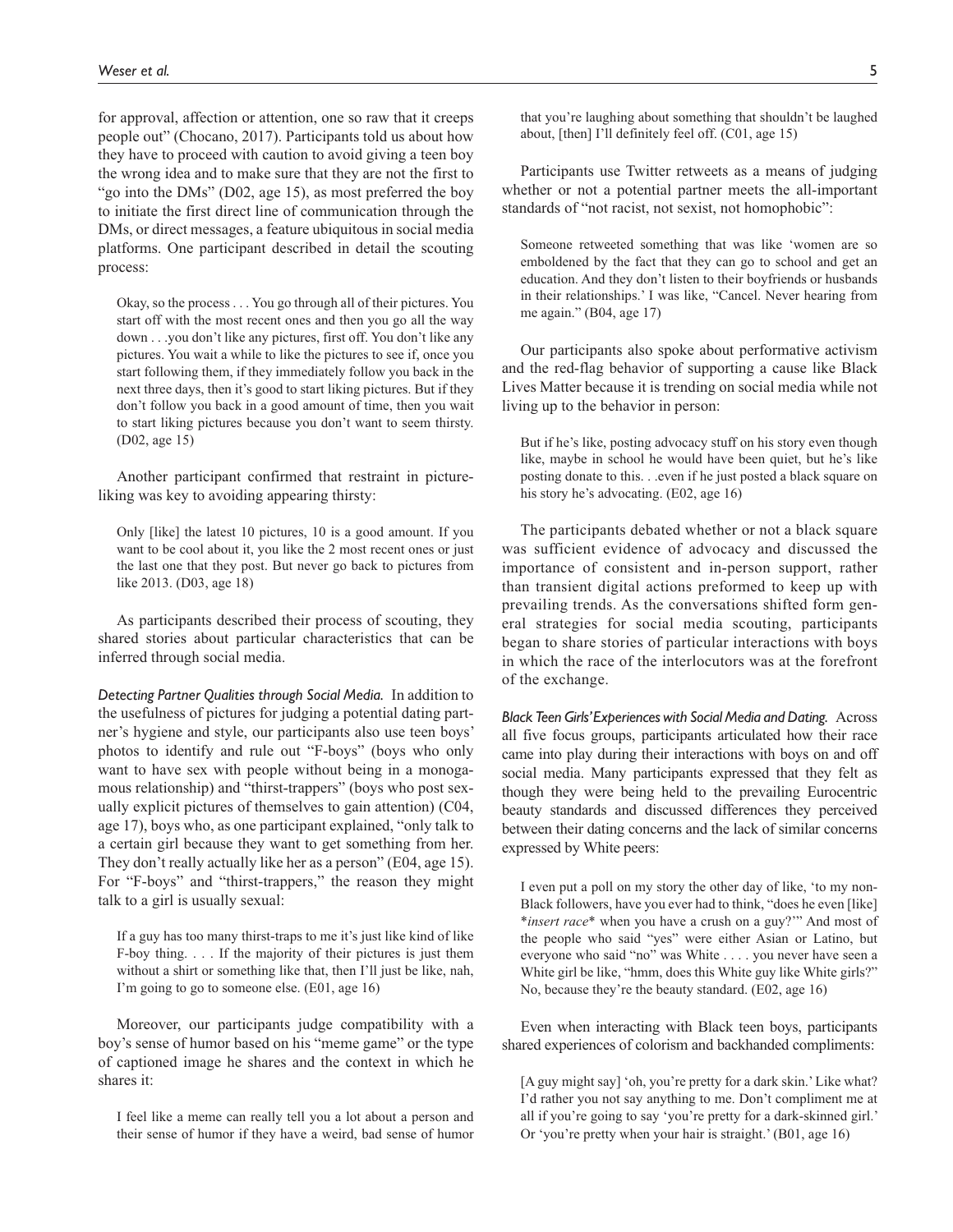for approval, affection or attention, one so raw that it creeps people out" (Chocano, 2017). Participants told us about how they have to proceed with caution to avoid giving a teen boy the wrong idea and to make sure that they are not the first to "go into the DMs" (D02, age 15), as most preferred the boy to initiate the first direct line of communication through the DMs, or direct messages, a feature ubiquitous in social media platforms. One participant described in detail the scouting process:

Okay, so the process . . . You go through all of their pictures. You start off with the most recent ones and then you go all the way down . . .you don't like any pictures, first off. You don't like any pictures. You wait a while to like the pictures to see if, once you start following them, if they immediately follow you back in the next three days, then it's good to start liking pictures. But if they don't follow you back in a good amount of time, then you wait to start liking pictures because you don't want to seem thirsty. (D02, age 15)

Another participant confirmed that restraint in pictureliking was key to avoiding appearing thirsty:

Only [like] the latest 10 pictures, 10 is a good amount. If you want to be cool about it, you like the 2 most recent ones or just the last one that they post. But never go back to pictures from like 2013. (D03, age 18)

As participants described their process of scouting, they shared stories about particular characteristics that can be inferred through social media.

*Detecting Partner Qualities through Social Media.* In addition to the usefulness of pictures for judging a potential dating partner's hygiene and style, our participants also use teen boys' photos to identify and rule out "F-boys" (boys who only want to have sex with people without being in a monogamous relationship) and "thirst-trappers" (boys who post sexually explicit pictures of themselves to gain attention) (C04, age 17), boys who, as one participant explained, "only talk to a certain girl because they want to get something from her. They don't really actually like her as a person" (E04, age 15). For "F-boys" and "thirst-trappers," the reason they might talk to a girl is usually sexual:

If a guy has too many thirst-traps to me it's just like kind of like F-boy thing. . . . If the majority of their pictures is just them without a shirt or something like that, then I'll just be like, nah, I'm going to go to someone else. (E01, age 16)

Moreover, our participants judge compatibility with a boy's sense of humor based on his "meme game" or the type of captioned image he shares and the context in which he shares it:

I feel like a meme can really tell you a lot about a person and their sense of humor if they have a weird, bad sense of humor that you're laughing about something that shouldn't be laughed about, [then] I'll definitely feel off. (C01, age 15)

Participants use Twitter retweets as a means of judging whether or not a potential partner meets the all-important standards of "not racist, not sexist, not homophobic":

Someone retweeted something that was like 'women are so emboldened by the fact that they can go to school and get an education. And they don't listen to their boyfriends or husbands in their relationships.' I was like, "Cancel. Never hearing from me again." (B04, age 17)

Our participants also spoke about performative activism and the red-flag behavior of supporting a cause like Black Lives Matter because it is trending on social media while not living up to the behavior in person:

But if he's like, posting advocacy stuff on his story even though like, maybe in school he would have been quiet, but he's like posting donate to this. . .even if he just posted a black square on his story he's advocating. (E02, age 16)

The participants debated whether or not a black square was sufficient evidence of advocacy and discussed the importance of consistent and in-person support, rather than transient digital actions preformed to keep up with prevailing trends. As the conversations shifted form general strategies for social media scouting, participants began to share stories of particular interactions with boys in which the race of the interlocutors was at the forefront of the exchange.

*Black Teen Girls' Experiences with Social Media and Dating.* Across all five focus groups, participants articulated how their race came into play during their interactions with boys on and off social media. Many participants expressed that they felt as though they were being held to the prevailing Eurocentric beauty standards and discussed differences they perceived between their dating concerns and the lack of similar concerns expressed by White peers:

I even put a poll on my story the other day of like, 'to my non-Black followers, have you ever had to think, "does he even [like] \**insert race*\* when you have a crush on a guy?'" And most of the people who said "yes" were either Asian or Latino, but everyone who said "no" was White . . . . you never have seen a White girl be like, "hmm, does this White guy like White girls?" No, because they're the beauty standard. (E02, age 16)

Even when interacting with Black teen boys, participants shared experiences of colorism and backhanded compliments:

[A guy might say] 'oh, you're pretty for a dark skin.' Like what? I'd rather you not say anything to me. Don't compliment me at all if you're going to say 'you're pretty for a dark-skinned girl.' Or 'you're pretty when your hair is straight.' (B01, age 16)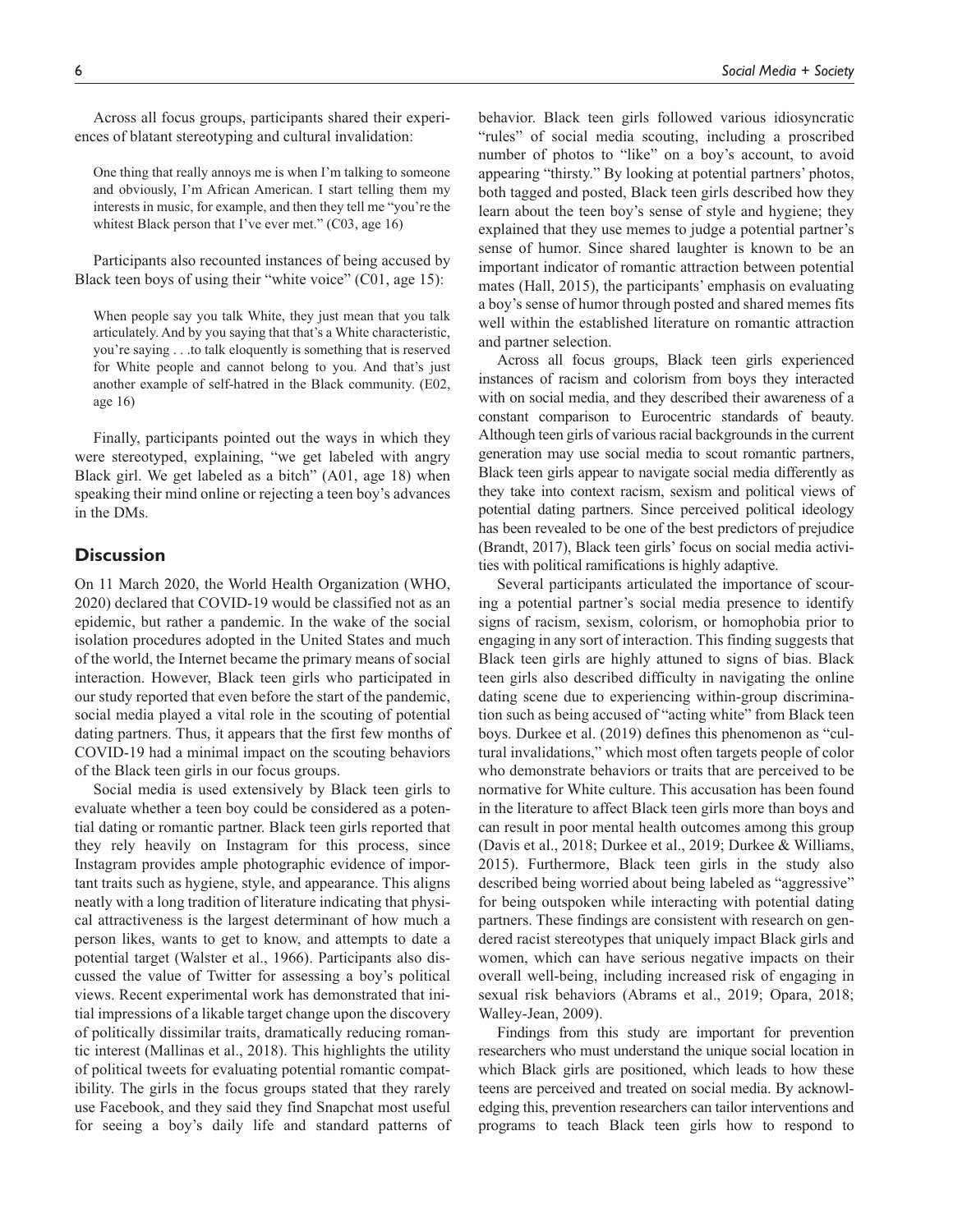Across all focus groups, participants shared their experiences of blatant stereotyping and cultural invalidation:

One thing that really annoys me is when I'm talking to someone and obviously, I'm African American. I start telling them my interests in music, for example, and then they tell me "you're the whitest Black person that I've ever met." (C03, age 16)

Participants also recounted instances of being accused by Black teen boys of using their "white voice" (C01, age 15):

When people say you talk White, they just mean that you talk articulately. And by you saying that that's a White characteristic, you're saying . . .to talk eloquently is something that is reserved for White people and cannot belong to you. And that's just another example of self-hatred in the Black community. (E02, age 16)

Finally, participants pointed out the ways in which they were stereotyped, explaining, "we get labeled with angry Black girl. We get labeled as a bitch" (A01, age 18) when speaking their mind online or rejecting a teen boy's advances in the DMs.

# **Discussion**

On 11 March 2020, the World Health Organization (WHO, 2020) declared that COVID-19 would be classified not as an epidemic, but rather a pandemic. In the wake of the social isolation procedures adopted in the United States and much of the world, the Internet became the primary means of social interaction. However, Black teen girls who participated in our study reported that even before the start of the pandemic, social media played a vital role in the scouting of potential dating partners. Thus, it appears that the first few months of COVID-19 had a minimal impact on the scouting behaviors of the Black teen girls in our focus groups.

Social media is used extensively by Black teen girls to evaluate whether a teen boy could be considered as a potential dating or romantic partner. Black teen girls reported that they rely heavily on Instagram for this process, since Instagram provides ample photographic evidence of important traits such as hygiene, style, and appearance. This aligns neatly with a long tradition of literature indicating that physical attractiveness is the largest determinant of how much a person likes, wants to get to know, and attempts to date a potential target (Walster et al., 1966). Participants also discussed the value of Twitter for assessing a boy's political views. Recent experimental work has demonstrated that initial impressions of a likable target change upon the discovery of politically dissimilar traits, dramatically reducing romantic interest (Mallinas et al., 2018). This highlights the utility of political tweets for evaluating potential romantic compatibility. The girls in the focus groups stated that they rarely use Facebook, and they said they find Snapchat most useful for seeing a boy's daily life and standard patterns of behavior. Black teen girls followed various idiosyncratic "rules" of social media scouting, including a proscribed number of photos to "like" on a boy's account, to avoid appearing "thirsty." By looking at potential partners' photos, both tagged and posted, Black teen girls described how they learn about the teen boy's sense of style and hygiene; they explained that they use memes to judge a potential partner's sense of humor. Since shared laughter is known to be an important indicator of romantic attraction between potential mates (Hall, 2015), the participants' emphasis on evaluating a boy's sense of humor through posted and shared memes fits well within the established literature on romantic attraction and partner selection.

Across all focus groups, Black teen girls experienced instances of racism and colorism from boys they interacted with on social media, and they described their awareness of a constant comparison to Eurocentric standards of beauty. Although teen girls of various racial backgrounds in the current generation may use social media to scout romantic partners, Black teen girls appear to navigate social media differently as they take into context racism, sexism and political views of potential dating partners. Since perceived political ideology has been revealed to be one of the best predictors of prejudice (Brandt, 2017), Black teen girls' focus on social media activities with political ramifications is highly adaptive.

Several participants articulated the importance of scouring a potential partner's social media presence to identify signs of racism, sexism, colorism, or homophobia prior to engaging in any sort of interaction. This finding suggests that Black teen girls are highly attuned to signs of bias. Black teen girls also described difficulty in navigating the online dating scene due to experiencing within-group discrimination such as being accused of "acting white" from Black teen boys. Durkee et al. (2019) defines this phenomenon as "cultural invalidations," which most often targets people of color who demonstrate behaviors or traits that are perceived to be normative for White culture. This accusation has been found in the literature to affect Black teen girls more than boys and can result in poor mental health outcomes among this group (Davis et al., 2018; Durkee et al., 2019; Durkee & Williams, 2015). Furthermore, Black teen girls in the study also described being worried about being labeled as "aggressive" for being outspoken while interacting with potential dating partners. These findings are consistent with research on gendered racist stereotypes that uniquely impact Black girls and women, which can have serious negative impacts on their overall well-being, including increased risk of engaging in sexual risk behaviors (Abrams et al., 2019; Opara, 2018; Walley-Jean, 2009).

Findings from this study are important for prevention researchers who must understand the unique social location in which Black girls are positioned, which leads to how these teens are perceived and treated on social media. By acknowledging this, prevention researchers can tailor interventions and programs to teach Black teen girls how to respond to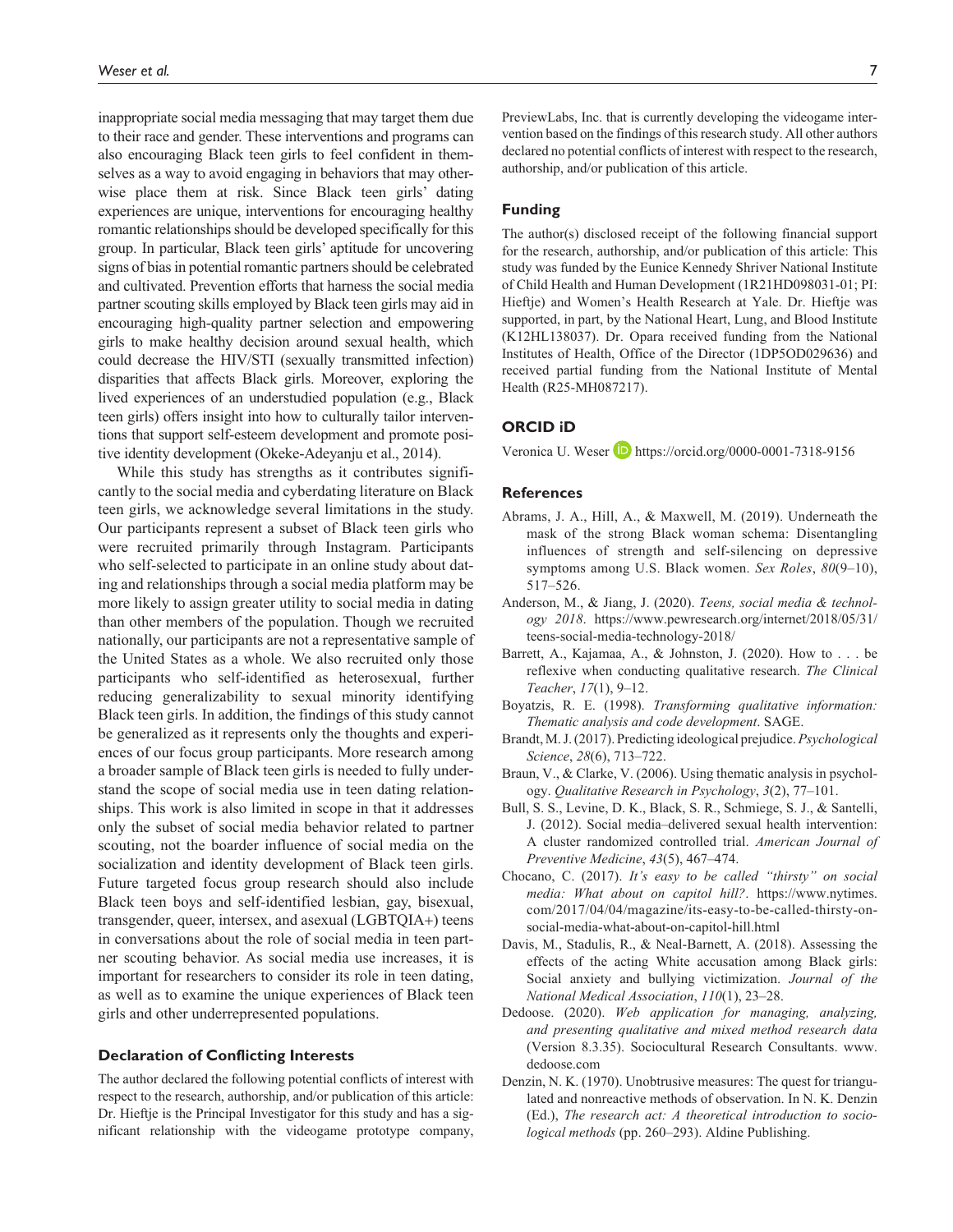inappropriate social media messaging that may target them due to their race and gender. These interventions and programs can also encouraging Black teen girls to feel confident in themselves as a way to avoid engaging in behaviors that may otherwise place them at risk. Since Black teen girls' dating experiences are unique, interventions for encouraging healthy romantic relationships should be developed specifically for this group. In particular, Black teen girls' aptitude for uncovering signs of bias in potential romantic partners should be celebrated and cultivated. Prevention efforts that harness the social media partner scouting skills employed by Black teen girls may aid in encouraging high-quality partner selection and empowering girls to make healthy decision around sexual health, which could decrease the HIV/STI (sexually transmitted infection) disparities that affects Black girls. Moreover, exploring the lived experiences of an understudied population (e.g., Black teen girls) offers insight into how to culturally tailor interventions that support self-esteem development and promote positive identity development (Okeke-Adeyanju et al., 2014).

While this study has strengths as it contributes significantly to the social media and cyberdating literature on Black teen girls, we acknowledge several limitations in the study. Our participants represent a subset of Black teen girls who were recruited primarily through Instagram. Participants who self-selected to participate in an online study about dating and relationships through a social media platform may be more likely to assign greater utility to social media in dating than other members of the population. Though we recruited nationally, our participants are not a representative sample of the United States as a whole. We also recruited only those participants who self-identified as heterosexual, further reducing generalizability to sexual minority identifying Black teen girls. In addition, the findings of this study cannot be generalized as it represents only the thoughts and experiences of our focus group participants. More research among a broader sample of Black teen girls is needed to fully understand the scope of social media use in teen dating relationships. This work is also limited in scope in that it addresses only the subset of social media behavior related to partner scouting, not the boarder influence of social media on the socialization and identity development of Black teen girls. Future targeted focus group research should also include Black teen boys and self-identified lesbian, gay, bisexual, transgender, queer, intersex, and asexual (LGBTQIA+) teens in conversations about the role of social media in teen partner scouting behavior. As social media use increases, it is important for researchers to consider its role in teen dating, as well as to examine the unique experiences of Black teen girls and other underrepresented populations.

#### **Declaration of Conflicting Interests**

The author declared the following potential conflicts of interest with respect to the research, authorship, and/or publication of this article: Dr. Hieftje is the Principal Investigator for this study and has a significant relationship with the videogame prototype company, PreviewLabs, Inc. that is currently developing the videogame intervention based on the findings of this research study. All other authors declared no potential conflicts of interest with respect to the research, authorship, and/or publication of this article.

#### **Funding**

The author(s) disclosed receipt of the following financial support for the research, authorship, and/or publication of this article: This study was funded by the Eunice Kennedy Shriver National Institute of Child Health and Human Development (1R21HD098031-01; PI: Hieftje) and Women's Health Research at Yale. Dr. Hieftje was supported, in part, by the National Heart, Lung, and Blood Institute (K12HL138037). Dr. Opara received funding from the National Institutes of Health, Office of the Director (1DP5OD029636) and received partial funding from the National Institute of Mental Health (R25-MH087217).

### **ORCID iD**

Veronica U. Weser **D** <https://orcid.org/0000-0001-7318-9156>

#### **References**

- Abrams, J. A., Hill, A., & Maxwell, M. (2019). Underneath the mask of the strong Black woman schema: Disentangling influences of strength and self-silencing on depressive symptoms among U.S. Black women. *Sex Roles*, *80*(9–10), 517–526.
- Anderson, M., & Jiang, J. (2020). *Teens, social media & technology 2018*. [https://www.pewresearch.org/internet/2018/05/31/](https://www.pewresearch.org/internet/2018/05/31/teens-social-media-technology-2018/) [teens-social-media-technology-2018/](https://www.pewresearch.org/internet/2018/05/31/teens-social-media-technology-2018/)
- Barrett, A., Kajamaa, A., & Johnston, J. (2020). How to . . . be reflexive when conducting qualitative research. *The Clinical Teacher*, *17*(1), 9–12.
- Boyatzis, R. E. (1998). *Transforming qualitative information: Thematic analysis and code development*. SAGE.
- Brandt, M. J. (2017). Predicting ideological prejudice. *Psychological Science*, *28*(6), 713–722.
- Braun, V., & Clarke, V. (2006). Using thematic analysis in psychology. *Qualitative Research in Psychology*, *3*(2), 77–101.
- Bull, S. S., Levine, D. K., Black, S. R., Schmiege, S. J., & Santelli, J. (2012). Social media–delivered sexual health intervention: A cluster randomized controlled trial. *American Journal of Preventive Medicine*, *43*(5), 467–474.
- Chocano, C. (2017). *It's easy to be called "thirsty" on social media: What about on capitol hill?*. [https://www.nytimes.](https://www.nytimes.com/2017/04/04/magazine/its-easy-to-be-called-thirsty-on-social-media-what-about-on-capitol-hill.html) [com/2017/04/04/magazine/its-easy-to-be-called-thirsty-on](https://www.nytimes.com/2017/04/04/magazine/its-easy-to-be-called-thirsty-on-social-media-what-about-on-capitol-hill.html)[social-media-what-about-on-capitol-hill.html](https://www.nytimes.com/2017/04/04/magazine/its-easy-to-be-called-thirsty-on-social-media-what-about-on-capitol-hill.html)
- Davis, M., Stadulis, R., & Neal-Barnett, A. (2018). Assessing the effects of the acting White accusation among Black girls: Social anxiety and bullying victimization. *Journal of the National Medical Association*, *110*(1), 23–28.
- Dedoose. (2020). *Web application for managing, analyzing, and presenting qualitative and mixed method research data* (Version 8.3.35). Sociocultural Research Consultants. [www.](www.dedoose.com) [dedoose.com](www.dedoose.com)
- Denzin, N. K. (1970). Unobtrusive measures: The quest for triangulated and nonreactive methods of observation. In N. K. Denzin (Ed.), *The research act: A theoretical introduction to sociological methods* (pp. 260–293). Aldine Publishing.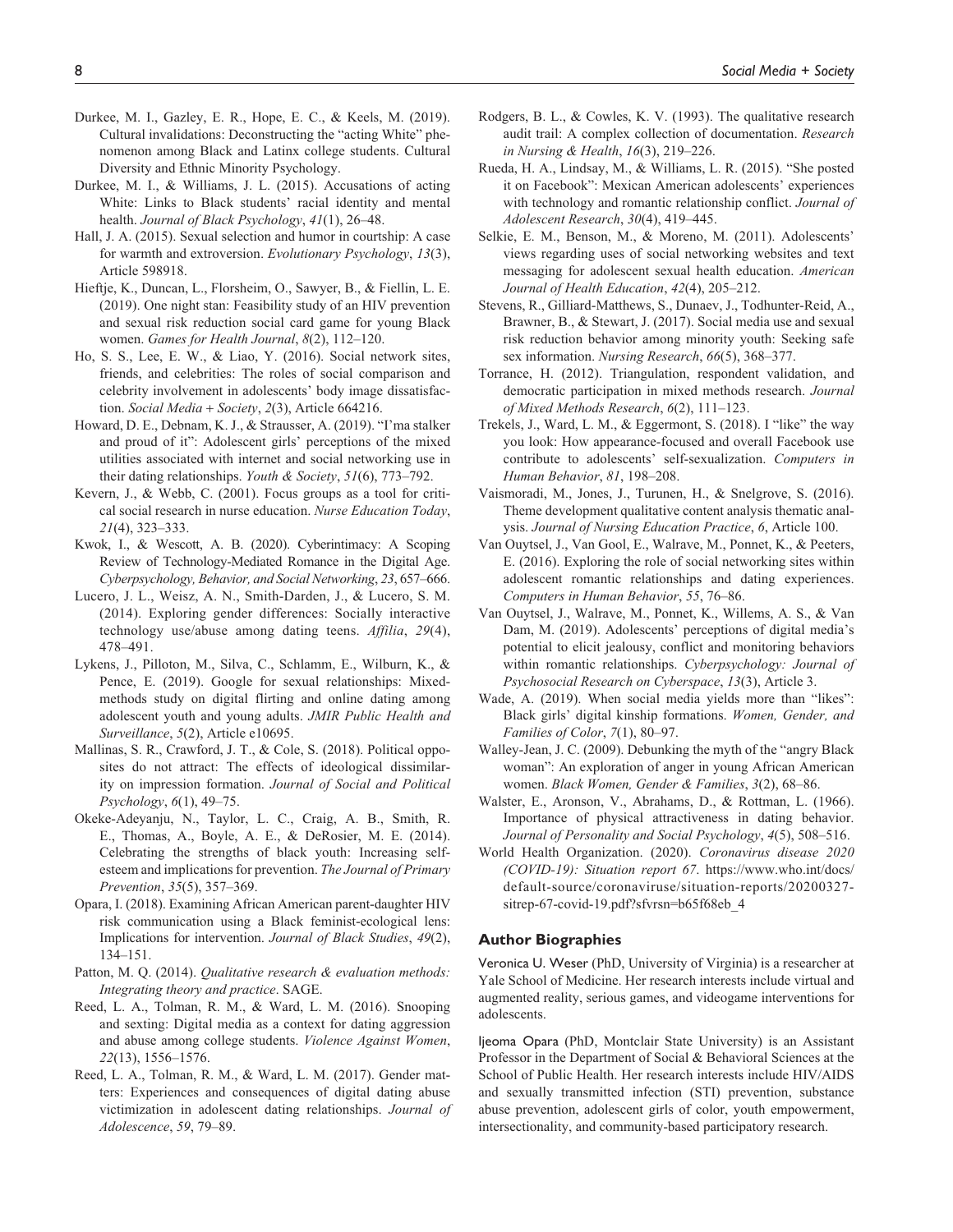- Durkee, M. I., Gazley, E. R., Hope, E. C., & Keels, M. (2019). Cultural invalidations: Deconstructing the "acting White" phenomenon among Black and Latinx college students. Cultural Diversity and Ethnic Minority Psychology.
- Durkee, M. I., & Williams, J. L. (2015). Accusations of acting White: Links to Black students' racial identity and mental health. *Journal of Black Psychology*, *41*(1), 26–48.
- Hall, J. A. (2015). Sexual selection and humor in courtship: A case for warmth and extroversion. *Evolutionary Psychology*, *13*(3), Article 598918.
- Hieftje, K., Duncan, L., Florsheim, O., Sawyer, B., & Fiellin, L. E. (2019). One night stan: Feasibility study of an HIV prevention and sexual risk reduction social card game for young Black women. *Games for Health Journal*, *8*(2), 112–120.
- Ho, S. S., Lee, E. W., & Liao, Y. (2016). Social network sites, friends, and celebrities: The roles of social comparison and celebrity involvement in adolescents' body image dissatisfaction. *Social Media* + *Society*, *2*(3), Article 664216.
- Howard, D. E., Debnam, K. J., & Strausser, A. (2019). "I'ma stalker and proud of it": Adolescent girls' perceptions of the mixed utilities associated with internet and social networking use in their dating relationships. *Youth & Society*, *51*(6), 773–792.
- Kevern, J., & Webb, C. (2001). Focus groups as a tool for critical social research in nurse education. *Nurse Education Today*, *21*(4), 323–333.
- Kwok, I., & Wescott, A. B. (2020). Cyberintimacy: A Scoping Review of Technology-Mediated Romance in the Digital Age. *Cyberpsychology, Behavior, and Social Networking*, *23*, 657–666.
- Lucero, J. L., Weisz, A. N., Smith-Darden, J., & Lucero, S. M. (2014). Exploring gender differences: Socially interactive technology use/abuse among dating teens. *Affilia*, *29*(4), 478–491.
- Lykens, J., Pilloton, M., Silva, C., Schlamm, E., Wilburn, K., & Pence, E. (2019). Google for sexual relationships: Mixedmethods study on digital flirting and online dating among adolescent youth and young adults. *JMIR Public Health and Surveillance*, *5*(2), Article e10695.
- Mallinas, S. R., Crawford, J. T., & Cole, S. (2018). Political opposites do not attract: The effects of ideological dissimilarity on impression formation. *Journal of Social and Political Psychology*, *6*(1), 49–75.
- Okeke-Adeyanju, N., Taylor, L. C., Craig, A. B., Smith, R. E., Thomas, A., Boyle, A. E., & DeRosier, M. E. (2014). Celebrating the strengths of black youth: Increasing selfesteem and implications for prevention. *The Journal of Primary Prevention*, *35*(5), 357–369.
- Opara, I. (2018). Examining African American parent-daughter HIV risk communication using a Black feminist-ecological lens: Implications for intervention. *Journal of Black Studies*, *49*(2), 134–151.
- Patton, M. Q. (2014). *Qualitative research & evaluation methods: Integrating theory and practice*. SAGE.
- Reed, L. A., Tolman, R. M., & Ward, L. M. (2016). Snooping and sexting: Digital media as a context for dating aggression and abuse among college students. *Violence Against Women*, *22*(13), 1556–1576.
- Reed, L. A., Tolman, R. M., & Ward, L. M. (2017). Gender matters: Experiences and consequences of digital dating abuse victimization in adolescent dating relationships. *Journal of Adolescence*, *59*, 79–89.
- Rodgers, B. L., & Cowles, K. V. (1993). The qualitative research audit trail: A complex collection of documentation. *Research in Nursing & Health*, *16*(3), 219–226.
- Rueda, H. A., Lindsay, M., & Williams, L. R. (2015). "She posted it on Facebook": Mexican American adolescents' experiences with technology and romantic relationship conflict. *Journal of Adolescent Research*, *30*(4), 419–445.
- Selkie, E. M., Benson, M., & Moreno, M. (2011). Adolescents' views regarding uses of social networking websites and text messaging for adolescent sexual health education. *American Journal of Health Education*, *42*(4), 205–212.
- Stevens, R., Gilliard-Matthews, S., Dunaev, J., Todhunter-Reid, A., Brawner, B., & Stewart, J. (2017). Social media use and sexual risk reduction behavior among minority youth: Seeking safe sex information. *Nursing Research*, *66*(5), 368–377.
- Torrance, H. (2012). Triangulation, respondent validation, and democratic participation in mixed methods research. *Journal of Mixed Methods Research*, *6*(2), 111–123.
- Trekels, J., Ward, L. M., & Eggermont, S. (2018). I "like" the way you look: How appearance-focused and overall Facebook use contribute to adolescents' self-sexualization. *Computers in Human Behavior*, *81*, 198–208.
- Vaismoradi, M., Jones, J., Turunen, H., & Snelgrove, S. (2016). Theme development qualitative content analysis thematic analysis. *Journal of Nursing Education Practice*, *6*, Article 100.
- Van Ouytsel, J., Van Gool, E., Walrave, M., Ponnet, K., & Peeters, E. (2016). Exploring the role of social networking sites within adolescent romantic relationships and dating experiences. *Computers in Human Behavior*, *55*, 76–86.
- Van Ouytsel, J., Walrave, M., Ponnet, K., Willems, A. S., & Van Dam, M. (2019). Adolescents' perceptions of digital media's potential to elicit jealousy, conflict and monitoring behaviors within romantic relationships. *Cyberpsychology: Journal of Psychosocial Research on Cyberspace*, *13*(3), Article 3.
- Wade, A. (2019). When social media yields more than "likes": Black girls' digital kinship formations. *Women, Gender, and Families of Color*, *7*(1), 80–97.
- Walley-Jean, J. C. (2009). Debunking the myth of the "angry Black woman": An exploration of anger in young African American women. *Black Women, Gender & Families*, *3*(2), 68–86.
- Walster, E., Aronson, V., Abrahams, D., & Rottman, L. (1966). Importance of physical attractiveness in dating behavior. *Journal of Personality and Social Psychology*, *4*(5), 508–516.
- World Health Organization. (2020). *Coronavirus disease 2020 (COVID-19): Situation report 67*. [https://www.who.int/docs/](https://www.who.int/docs/default-source/coronaviruse/situation-reports/20200327-sitrep-67-covid-19.pdf?sfvrsn=b65f68eb_4) [default-source/coronaviruse/situation-reports/20200327](https://www.who.int/docs/default-source/coronaviruse/situation-reports/20200327-sitrep-67-covid-19.pdf?sfvrsn=b65f68eb_4) sitrep-67-covid-19.pdf?sfvrsn=b65f68eb 4

#### **Author Biographies**

Veronica U. Weser (PhD, University of Virginia) is a researcher at Yale School of Medicine. Her research interests include virtual and augmented reality, serious games, and videogame interventions for adolescents.

Ijeoma Opara (PhD, Montclair State University) is an Assistant Professor in the Department of Social & Behavioral Sciences at the School of Public Health. Her research interests include HIV/AIDS and sexually transmitted infection (STI) prevention, substance abuse prevention, adolescent girls of color, youth empowerment, intersectionality, and community-based participatory research.